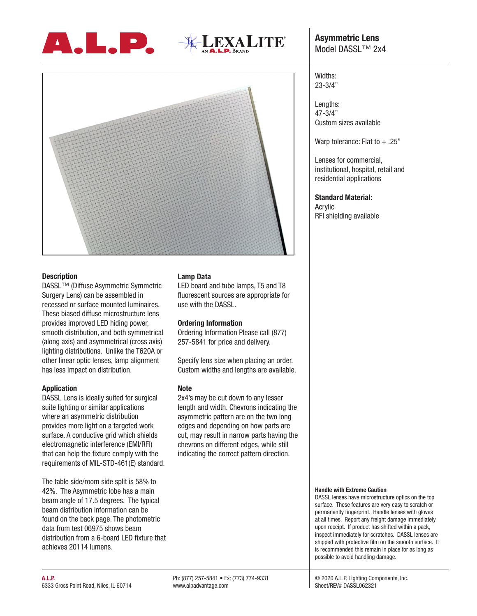





# **Description**

DASSL™ (Diffuse Asymmetric Symmetric Surgery Lens) can be assembled in recessed or surface mounted luminaires. These biased diffuse microstructure lens provides improved LED hiding power, smooth distribution, and both symmetrical (along axis) and asymmetrical (cross axis) lighting distributions. Unlike the T620A or other linear optic lenses, lamp alignment has less impact on distribution.

### **Application**

DASSL Lens is ideally suited for surgical suite lighting or similar applications where an asymmetric distribution provides more light on a targeted work surface. A conductive grid which shields electromagnetic interference (EMI/RFI) that can help the fixture comply with the requirements of MIL-STD-461(E) standard.

The table side/room side split is 58% to 42%. The Asymmetric lobe has a main beam angle of 17.5 degrees. The typical beam distribution information can be found on the back page. The photometric data from test 06975 shows beam distribution from a 6-board LED fixture that achieves 20114 lumens.

# **Lamp Data**

LED board and tube lamps, T5 and T8 fluorescent sources are appropriate for use with the DASSL.

### **Ordering Information**

Ordering Information Please call (877) 257-5841 for price and delivery.

Specify lens size when placing an order. Custom widths and lengths are available.

### **Note**

2x4's may be cut down to any lesser length and width. Chevrons indicating the asymmetric pattern are on the two long edges and depending on how parts are cut, may result in narrow parts having the chevrons on different edges, while still indicating the correct pattern direction.

# Widths: 23-3/4"

Lengths: 47-3/4" Custom sizes available

Warp tolerance: Flat to + .25"

Lenses for commercial, institutional, hospital, retail and residential applications

# **Standard Material:**

Acrylic RFI shielding available

#### **Handle with Extreme Caution**

DASSL lenses have microstructure optics on the top surface. These features are very easy to scratch or permanently fingerprint. Handle lenses with gloves at all times. Report any freight damage immediately upon receipt. If product has shifted within a pack, inspect immediately for scratches. DASSL lenses are shipped with protective film on the smooth surface. It is recommended this remain in place for as long as possible to avoid handling damage.